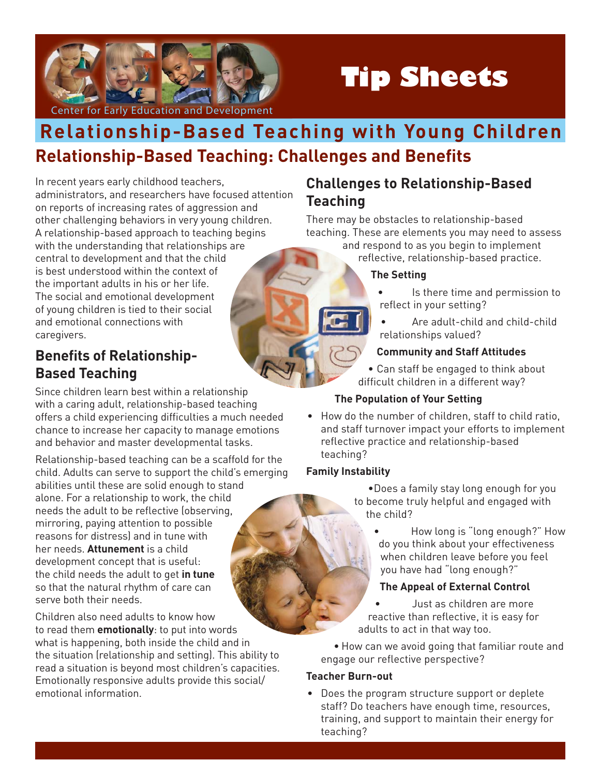

# **Tip Sheets**

# **Relationship-Based Teaching: Challenges and Benefits Relationship-Based Teaching with Young Children**

In recent years early childhood teachers, administrators, and researchers have focused attention on reports of increasing rates of aggression and other challenging behaviors in very young children. A relationship-based approach to teaching begins with the understanding that relationships are central to development and that the child is best understood within the context of the important adults in his or her life. The social and emotional development of young children is tied to their social and emotional connections with caregivers.

## **Benefits of Relationship-Based Teaching**

Since children learn best within a relationship with a caring adult, relationship-based teaching offers a child experiencing difficulties a much needed chance to increase her capacity to manage emotions and behavior and master developmental tasks.

Relationship-based teaching can be a scaffold for the child. Adults can serve to support the child's emerging abilities until these are solid enough to stand alone. For a relationship to work, the child needs the adult to be reflective (observing, mirroring, paying attention to possible reasons for distress) and in tune with her needs. **Attunement** is a child development concept that is useful: the child needs the adult to get **in tune**  so that the natural rhythm of care can serve both their needs.

Children also need adults to know how to read them **emotionally**: to put into words what is happening, both inside the child and in the situation (relationship and setting). This ability to read a situation is beyond most children's capacities. Emotionally responsive adults provide this social/ emotional information.

### **Challenges to Relationship-Based Teaching**

There may be obstacles to relationship-based teaching. These are elements you may need to assess

and respond to as you begin to implement reflective, relationship-based practice.

#### **The Setting**

- Is there time and permission to reflect in your setting?
- Are adult-child and child-child relationships valued?

#### **Community and Staff Attitudes**

• Can staff be engaged to think about difficult children in a different way?

#### **The Population of Your Setting**

• How do the number of children, staff to child ratio, and staff turnover impact your efforts to implement reflective practice and relationship-based teaching?

#### **Family Instability**

• Does a family stay long enough for you to become truly helpful and engaged with the child?

• How long is "long enough?" How do you think about your effectiveness when children leave before you feel you have had "long enough?"

#### **The Appeal of External Control**

• Just as children are more reactive than reflective, it is easy for adults to act in that way too.

• How can we avoid going that familiar route and engage our reflective perspective?

#### **Teacher Burn-out**

• Does the program structure support or deplete staff? Do teachers have enough time, resources, training, and support to maintain their energy for teaching?